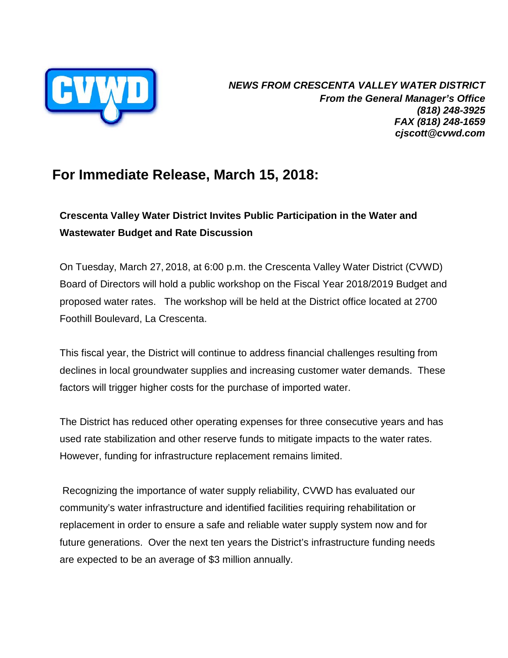

*NEWS FROM CRESCENTA VALLEY WATER DISTRICT From the General Manager's Office (818) 248-3925 FAX (818) 248-1659 cjscott@cvwd.com* 

## **For Immediate Release, March 15, 2018:**

## **Crescenta Valley Water District Invites Public Participation in the Water and Wastewater Budget and Rate Discussion**

On Tuesday, March 27, 2018, at 6:00 p.m. the Crescenta Valley Water District (CVWD) Board of Directors will hold a public workshop on the Fiscal Year 2018/2019 Budget and proposed water rates. The workshop will be held at the District office located at 2700 Foothill Boulevard, La Crescenta.

This fiscal year, the District will continue to address financial challenges resulting from declines in local groundwater supplies and increasing customer water demands. These factors will trigger higher costs for the purchase of imported water.

The District has reduced other operating expenses for three consecutive years and has used rate stabilization and other reserve funds to mitigate impacts to the water rates. However, funding for infrastructure replacement remains limited.

Recognizing the importance of water supply reliability, CVWD has evaluated our community's water infrastructure and identified facilities requiring rehabilitation or replacement in order to ensure a safe and reliable water supply system now and for future generations. Over the next ten years the District's infrastructure funding needs are expected to be an average of \$3 million annually.